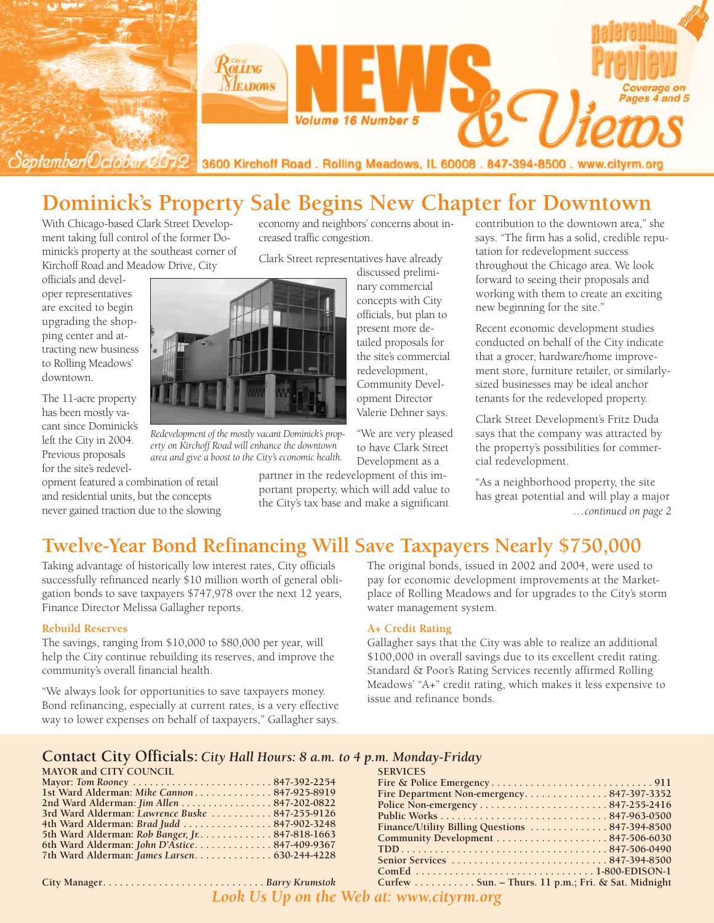

# **Dominick's Property Sale Begins New Chapter for Downtown**

With Chicago-based Clark Street Development taking full control of the former Dominick's property at the southeast corner of Kirchoff Road and Meadow Drive, City

officials and developer representatives are excited to begin upgrading the shopping center and attracting new business to Rolling Meadows' downtown.

The 11-acre property has been mostly vacant since Dominick's left the City in 2004. Previous proposals for the site's redevel-

opment featured a combination of retail and residential units, but the concepts never gained traction due to the slowing economy and neighbors' concerns about increased traffic congestion.

Clark Street representatives have already

discussed preliminary commercial concepts with City officials, but plan to present more detailed proposals for the site's commercial redevelopment, Community Development Director Valerie Dehner says.

"We are very pleased to have Clark Street Development as a

partner in the redevelopment of this important property, which will add value to the City's tax base and make a significant

contribution to the downtown area," she says. "The firm has a solid, credible reputation for redevelopment success throughout the Chicago area. We look forward to seeing their proposals and working with them to create an exciting new beginning for the site."

Recent economic development studies conducted on behalf of the City indicate that a grocer, hardware/home improvement store, furniture retailer, or similarlysized businesses may be ideal anchor tenants for the redeveloped property.

Clark Street Development's Fritz Duda says that the company was attracted by the property's possibilities for commercial redevelopment.

"As a neighborhood property, the site has great potential and will play a major *…continued on page 2*

## **Twelve-Year Bond Refinancing Will Save Taxpayers Nearly \$750,000**

Taking advantage of historically low interest rates, City officials successfully refinanced nearly \$10 million worth of general obligation bonds to save taxpayers \$747,978 over the next 12 years, Finance Director Melissa Gallagher reports.

#### **Rebuild Reserves**

The savings, ranging from \$10,000 to \$80,000 per year, will help the City continue rebuilding its reserves, and improve the community's overall financial health.

"We always look for opportunities to save taxpayers money. Bond refinancing, especially at current rates, is a very effective way to lower expenses on behalf of taxpayers," Gallagher says. The original bonds, issued in 2002 and 2004, were used to pay for economic development improvements at the Marketplace of Rolling Meadows and for upgrades to the City's storm water management system.

#### **A+ Credit Rating**

Gallagher says that the City was able to realize an additional \$100,000 in overall savings due to its excellent credit rating. Standard & Poor's Rating Services recently affirmed Rolling Meadows' "A+" credit rating, which makes it less expensive to issue and refinance bonds.

#### **Contact City Officials:** *City Hall Hours: 8 a.m. to 4 p.m. Monday-Friday*

*Redevelopment of the mostly vacant Dominick's property on Kirchoff Road will enhance the downtown area and give a boost to the City's economic health.*

| <b>MAYOR and CITY COUNCIL</b>                   | <b>SERVIC</b> |
|-------------------------------------------------|---------------|
| Mayor: Tom Rooney 847-392-2254                  | Fire $\&$ 1   |
| 1st Ward Alderman: Mike Cannon 847-925-8919     | Fire De       |
| 2nd Ward Alderman: Jim Allen 847-202-0822       | Police N      |
| 3rd Ward Alderman: Lawrence Buske  847-255-9126 | Public V      |
| 4th Ward Alderman: Brad Judd  847-902-3248      | Finance       |
| 5th Ward Alderman: Rob Banger, Jr. 847-818-1663 | Commu         |
| 6th Ward Alderman: John D'Astice847-409-9367    | TDD.          |
|                                                 | Senior S      |

| <b>SERVICES</b>                                    |
|----------------------------------------------------|
|                                                    |
| Fire Department Non-emergency847-397-3352          |
|                                                    |
|                                                    |
|                                                    |
|                                                    |
|                                                    |
|                                                    |
|                                                    |
| Curfew Sun. - Thurs. 11 p.m.; Fri. & Sat. Midnight |

**City Manager. . . . . . . . . . . . . . . . . . . . . . . . . . . . .** *Barry Krumstok Look Us Up on the Web at: www.cityrm.org*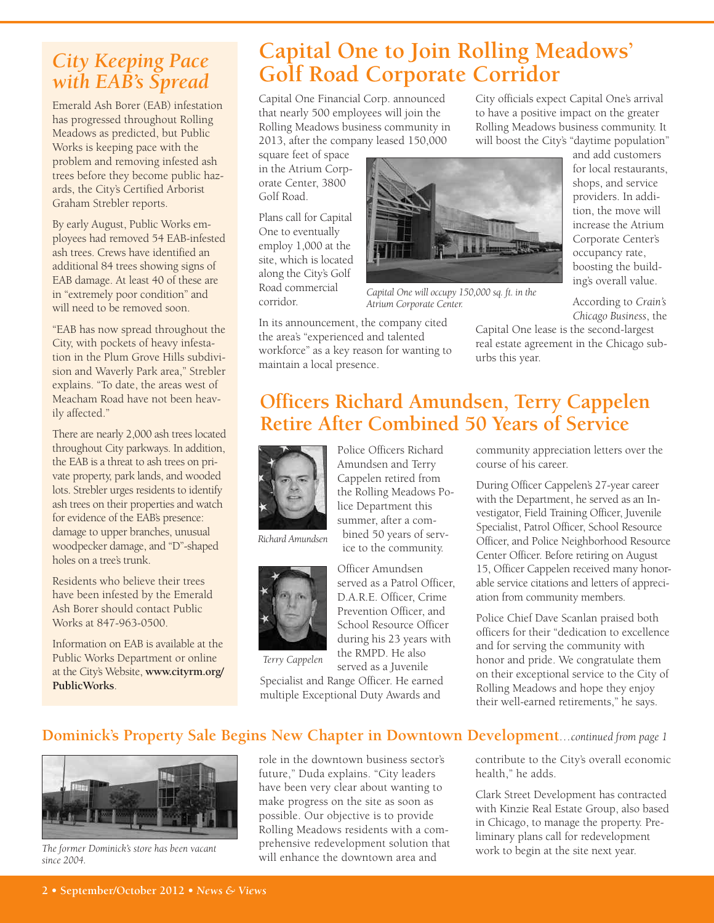## *City Keeping Pace with EAB's Spread*

Emerald Ash Borer (EAB) infestation has progressed throughout Rolling Meadows as predicted, but Public Works is keeping pace with the problem and removing infested ash trees before they become public hazards, the City's Certified Arborist Graham Strebler reports.

By early August, Public Works employees had removed 54 EAB-infested ash trees. Crews have identified an additional 84 trees showing signs of EAB damage. At least 40 of these are in "extremely poor condition" and will need to be removed soon.

"EAB has now spread throughout the City, with pockets of heavy infestation in the Plum Grove Hills subdivision and Waverly Park area," Strebler explains. "To date, the areas west of Meacham Road have not been heavily affected."

There are nearly 2,000 ash trees located throughout City parkways. In addition, the EAB is a threat to ash trees on private property, park lands, and wooded lots. Strebler urges residents to identify ash trees on their properties and watch for evidence of the EAB's presence: damage to upper branches, unusual woodpecker damage, and "D"-shaped holes on a tree's trunk.

Residents who believe their trees have been infested by the Emerald Ash Borer should contact Public Works at 847-963-0500.

Information on EAB is available at the Public Works Department or online at the City's Website, **www.cityrm.org/ PublicWorks**.

# **Capital One to Join Rolling Meadows' Golf Road Corporate Corridor**

Capital One Financial Corp. announced that nearly 500 employees will join the Rolling Meadows business community in 2013, after the company leased 150,000

square feet of space in the Atrium Corporate Center, 3800 Golf Road.

Plans call for Capital One to eventually employ 1,000 at the site, which is located along the City's Golf Road commercial corridor.

In its announcement, the company cited the area's "experienced and talented workforce" as a key reason for wanting to maintain a local presence.

City officials expect Capital One's arrival to have a positive impact on the greater Rolling Meadows business community. It will boost the City's "daytime population"

> and add customers for local restaurants, shops, and service providers. In addition, the move will increase the Atrium Corporate Center's occupancy rate, boosting the building's overall value.



*Capital One will occupy 150,000 sq. ft. in the Atrium Corporate Center.*

According to *Crain's Chicago Business*, the Capital One lease is the second-largest

real estate agreement in the Chicago suburbs this year.

# **Officers Richard Amundsen, Terry Cappelen Retire After Combined 50 Years of Service**



*Richard Amundsen*



*Terry Cappelen*

Police Officers Richard Amundsen and Terry Cappelen retired from the Rolling Meadows Police Department this summer, after a combined 50 years of service to the community.



D.A.R.E. Officer, Crime School Resource Officer during his 23 years with served as a Juvenile

Specialist and Range Officer. He earned multiple Exceptional Duty Awards and

community appreciation letters over the course of his career.

During Officer Cappelen's 27-year career with the Department, he served as an Investigator, Field Training Officer, Juvenile Specialist, Patrol Officer, School Resource Officer, and Police Neighborhood Resource Center Officer. Before retiring on August 15, Officer Cappelen received many honorable service citations and letters of appreciation from community members.

Police Chief Dave Scanlan praised both officers for their "dedication to excellence and for serving the community with honor and pride. We congratulate them on their exceptional service to the City of Rolling Meadows and hope they enjoy their well-earned retirements," he says.

## **Dominick's Property Sale Begins New Chapter in Downtown Development***…continued from page 1*



*since 2004.*

role in the downtown business sector's future," Duda explains. "City leaders have been very clear about wanting to make progress on the site as soon as possible. Our objective is to provide Rolling Meadows residents with a comprehensive redevelopment solution that will enhance the downtown area and *The former Dominick's store has been vacant prefiensive redevelopment solution that work to begin at the site next year.* 

contribute to the City's overall economic health," he adds.

Clark Street Development has contracted with Kinzie Real Estate Group, also based in Chicago, to manage the property. Preliminary plans call for redevelopment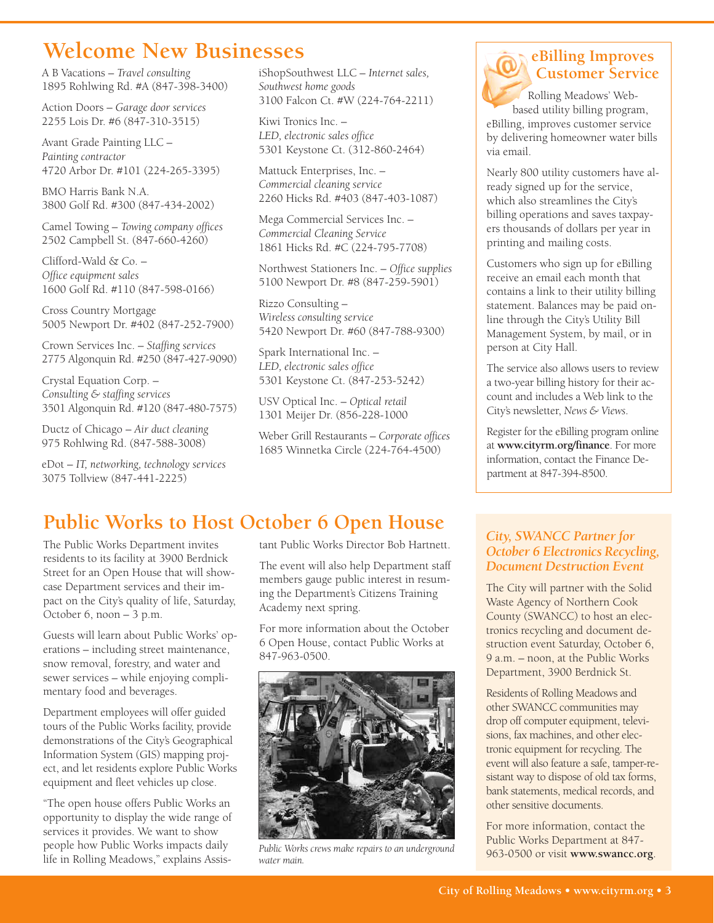# **Welcome New Businesses**

A B Vacations – *Travel consulting* 1895 Rohlwing Rd. #A (847-398-3400)

Action Doors – *Garage door services* 2255 Lois Dr. #6 (847-310-3515)

Avant Grade Painting LLC – *Painting contractor* 4720 Arbor Dr. #101 (224-265-3395)

BMO Harris Bank N.A. 3800 Golf Rd. #300 (847-434-2002)

Camel Towing – *Towing company offices* 2502 Campbell St. (847-660-4260)

Clifford-Wald & Co. – *Office equipment sales* 1600 Golf Rd. #110 (847-598-0166)

Cross Country Mortgage 5005 Newport Dr. #402 (847-252-7900)

Crown Services Inc. – *Staffing services* 2775 Algonquin Rd. #250 (847-427-9090)

Crystal Equation Corp. – *Consulting & staffing services* 3501 Algonquin Rd. #120 (847-480-7575)

Ductz of Chicago – *Air duct cleaning* 975 Rohlwing Rd. (847-588-3008)

eDot – *IT, networking, technology services* 3075 Tollview (847-441-2225)

iShopSouthwest LLC – *Internet sales, Southwest home goods* 3100 Falcon Ct. #W (224-764-2211)

Kiwi Tronics Inc. – *LED, electronic sales office* 5301 Keystone Ct. (312-860-2464)

Mattuck Enterprises, Inc. – *Commercial cleaning service* 2260 Hicks Rd. #403 (847-403-1087)

Mega Commercial Services Inc. – *Commercial Cleaning Service* 1861 Hicks Rd. #C (224-795-7708)

Northwest Stationers Inc. – *Office supplies* 5100 Newport Dr. #8 (847-259-5901)

Rizzo Consulting – *Wireless consulting service* 5420 Newport Dr. #60 (847-788-9300)

Spark International Inc. – *LED, electronic sales office* 5301 Keystone Ct. (847-253-5242)

USV Optical Inc. – *Optical retail* 1301 Meijer Dr. (856-228-1000

Weber Grill Restaurants – *Corporate offices* 1685 Winnetka Circle (224-764-4500)

## **eBilling Improves Customer Service**

Rolling Meadows' Webbased utility billing program, eBilling, improves customer service by delivering homeowner water bills via email.

Nearly 800 utility customers have already signed up for the service, which also streamlines the City's billing operations and saves taxpayers thousands of dollars per year in printing and mailing costs.

Customers who sign up for eBilling receive an email each month that contains a link to their utility billing statement. Balances may be paid online through the City's Utility Bill Management System, by mail, or in person at City Hall.

The service also allows users to review a two-year billing history for their account and includes a Web link to the City's newsletter, *News & Views*.

Register for the eBilling program online at **www.cityrm.org/finance**. For more information, contact the Finance Department at 847-394-8500.

# **Public Works to Host October 6 Open House**

The Public Works Department invites residents to its facility at 3900 Berdnick Street for an Open House that will showcase Department services and their impact on the City's quality of life, Saturday, October 6, noon – 3 p.m.

Guests will learn about Public Works' operations – including street maintenance, snow removal, forestry, and water and sewer services – while enjoying complimentary food and beverages.

Department employees will offer guided tours of the Public Works facility, provide demonstrations of the City's Geographical Information System (GIS) mapping project, and let residents explore Public Works equipment and fleet vehicles up close.

"The open house offers Public Works an opportunity to display the wide range of services it provides. We want to show people how Public Works impacts daily life in Rolling Meadows," explains Assistant Public Works Director Bob Hartnett.

The event will also help Department staff members gauge public interest in resuming the Department's Citizens Training Academy next spring.

For more information about the October 6 Open House, contact Public Works at 847-963-0500.



*Public Works crews make repairs to an underground water main.*

### *City, SWANCC Partner for October 6 Electronics Recycling, Document Destruction Event*

The City will partner with the Solid Waste Agency of Northern Cook County (SWANCC) to host an electronics recycling and document destruction event Saturday, October 6, 9 a.m. – noon, at the Public Works Department, 3900 Berdnick St.

Residents of Rolling Meadows and other SWANCC communities may drop off computer equipment, televisions, fax machines, and other electronic equipment for recycling. The event will also feature a safe, tamper-resistant way to dispose of old tax forms, bank statements, medical records, and other sensitive documents.

For more information, contact the Public Works Department at 847- 963-0500 or visit **www.swancc.org**.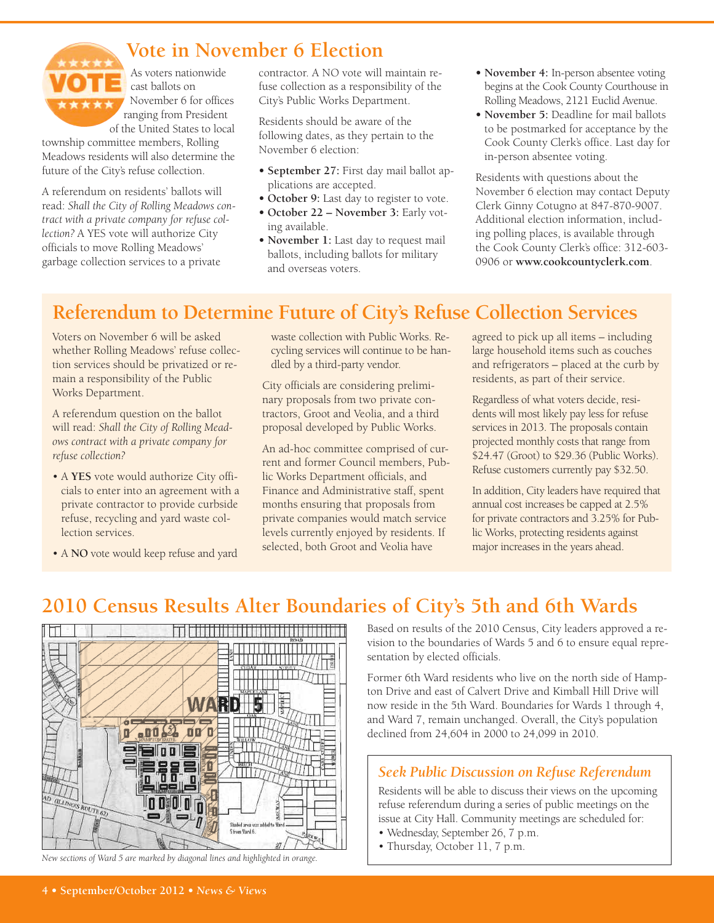

## **Vote in November 6 Election**

As voters nationwide cast ballots on November 6 for offices ranging from President of the United States to local

township committee members, Rolling Meadows residents will also determine the future of the City's refuse collection.

A referendum on residents' ballots will read: *Shall the City of Rolling Meadows contract with a private company for refuse collection?* A YES vote will authorize City officials to move Rolling Meadows' garbage collection services to a private

contractor. A NO vote will maintain refuse collection as a responsibility of the City's Public Works Department.

Residents should be aware of the following dates, as they pertain to the November 6 election:

- **• September 27:** First day mail ballot applications are accepted.
- **• October 9:** Last day to register to vote.
- **• October 22 – November 3:** Early voting available.
- **• November 1:** Last day to request mail ballots, including ballots for military and overseas voters.
- **• November 4:** In-person absentee voting begins at the Cook County Courthouse in Rolling Meadows, 2121 Euclid Avenue.
- **• November 5:** Deadline for mail ballots to be postmarked for acceptance by the Cook County Clerk's office. Last day for in-person absentee voting.

Residents with questions about the November 6 election may contact Deputy Clerk Ginny Cotugno at 847-870-9007. Additional election information, including polling places, is available through the Cook County Clerk's office: 312-603- 0906 or **www.cookcountyclerk.com**.

# **Referendum to Determine Future of City's Refuse Collection Services**

Voters on November 6 will be asked whether Rolling Meadows' refuse collection services should be privatized or remain a responsibility of the Public Works Department.

A referendum question on the ballot will read: *Shall the City of Rolling Meadows contract with a private company for refuse collection?*

- A **YES** vote would authorize City officials to enter into an agreement with a private contractor to provide curbside refuse, recycling and yard waste collection services.
- A **NO** vote would keep refuse and yard

waste collection with Public Works. Recycling services will continue to be handled by a third-party vendor.

City officials are considering preliminary proposals from two private contractors, Groot and Veolia, and a third proposal developed by Public Works.

An ad-hoc committee comprised of current and former Council members, Public Works Department officials, and Finance and Administrative staff, spent months ensuring that proposals from private companies would match service levels currently enjoyed by residents. If selected, both Groot and Veolia have

agreed to pick up all items – including large household items such as couches and refrigerators – placed at the curb by residents, as part of their service.

Regardless of what voters decide, residents will most likely pay less for refuse services in 2013. The proposals contain projected monthly costs that range from \$24.47 (Groot) to \$29.36 (Public Works). Refuse customers currently pay \$32.50.

In addition, City leaders have required that annual cost increases be capped at 2.5% for private contractors and 3.25% for Public Works, protecting residents against major increases in the years ahead.

# **2010 Census Results Alter Boundaries of City's 5th and 6th Wards**



*New sections of Ward 5 are marked by diagonal lines and highlighted in orange.*

Based on results of the 2010 Census, City leaders approved a revision to the boundaries of Wards 5 and 6 to ensure equal representation by elected officials.

Former 6th Ward residents who live on the north side of Hampton Drive and east of Calvert Drive and Kimball Hill Drive will now reside in the 5th Ward. Boundaries for Wards 1 through 4, and Ward 7, remain unchanged. Overall, the City's population declined from 24,604 in 2000 to 24,099 in 2010.

## *Seek Public Discussion on Refuse Referendum*

Residents will be able to discuss their views on the upcoming refuse referendum during a series of public meetings on the issue at City Hall. Community meetings are scheduled for:

- Wednesday, September 26, 7 p.m.
- Thursday, October 11, 7 p.m.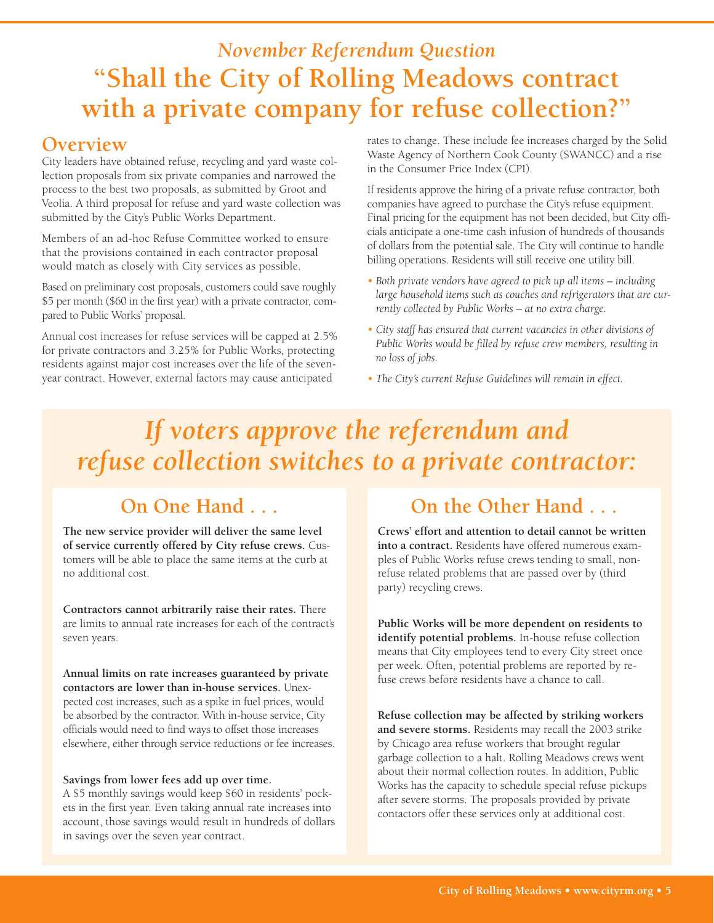# *November Referendum Question* **"Shall the City of Rolling Meadows contract with a private company for refuse collection?"**

## **Overview**

City leaders have obtained refuse, recycling and yard waste collection proposals from six private companies and narrowed the process to the best two proposals, as submitted by Groot and Veolia. A third proposal for refuse and yard waste collection was submitted by the City's Public Works Department.

Members of an ad-hoc Refuse Committee worked to ensure that the provisions contained in each contractor proposal would match as closely with City services as possible.

Based on preliminary cost proposals, customers could save roughly \$5 per month (\$60 in the first year) with a private contractor, compared to Public Works' proposal.

Annual cost increases for refuse services will be capped at 2.5% for private contractors and 3.25% for Public Works, protecting residents against major cost increases over the life of the sevenyear contract. However, external factors may cause anticipated

rates to change. These include fee increases charged by the Solid Waste Agency of Northern Cook County (SWANCC) and a rise in the Consumer Price Index (CPI).

If residents approve the hiring of a private refuse contractor, both companies have agreed to purchase the City's refuse equipment. Final pricing for the equipment has not been decided, but City officials anticipate a one-time cash infusion of hundreds of thousands of dollars from the potential sale. The City will continue to handle billing operations. Residents will still receive one utility bill.

- *• Both private vendors have agreed to pick up all items – including large household items such as couches and refrigerators that are currently collected by Public Works – at no extra charge.*
- *• City staff has ensured that current vacancies in other divisions of Public Works would be filled by refuse crew members, resulting in no loss of jobs.*
- *• The City's current Refuse Guidelines will remain in effect.*

# *If voters approve the referendum and refuse collection switches to a private contractor:*

# **On One Hand . . .**

**The new service provider will deliver the same level of service currently offered by City refuse crews.** Customers will be able to place the same items at the curb at no additional cost.

**Contractors cannot arbitrarily raise their rates.** There are limits to annual rate increases for each of the contract's seven years.

**Annual limits on rate increases guaranteed by private contactors are lower than in-house services.** Unexpected cost increases, such as a spike in fuel prices, would be absorbed by the contractor. With in-house service, City officials would need to find ways to offset those increases elsewhere, either through service reductions or fee increases.

#### **Savings from lower fees add up over time.**

A \$5 monthly savings would keep \$60 in residents' pockets in the first year. Even taking annual rate increases into account, those savings would result in hundreds of dollars in savings over the seven year contract.

# **On the Other Hand . . .**

**Crews' effort and attention to detail cannot be written into a contract.** Residents have offered numerous examples of Public Works refuse crews tending to small, nonrefuse related problems that are passed over by (third party) recycling crews.

**Public Works will be more dependent on residents to identify potential problems.** In-house refuse collection means that City employees tend to every City street once per week. Often, potential problems are reported by refuse crews before residents have a chance to call.

**Refuse collection may be affected by striking workers and severe storms.** Residents may recall the 2003 strike by Chicago area refuse workers that brought regular garbage collection to a halt. Rolling Meadows crews went about their normal collection routes. In addition, Public Works has the capacity to schedule special refuse pickups after severe storms. The proposals provided by private contactors offer these services only at additional cost.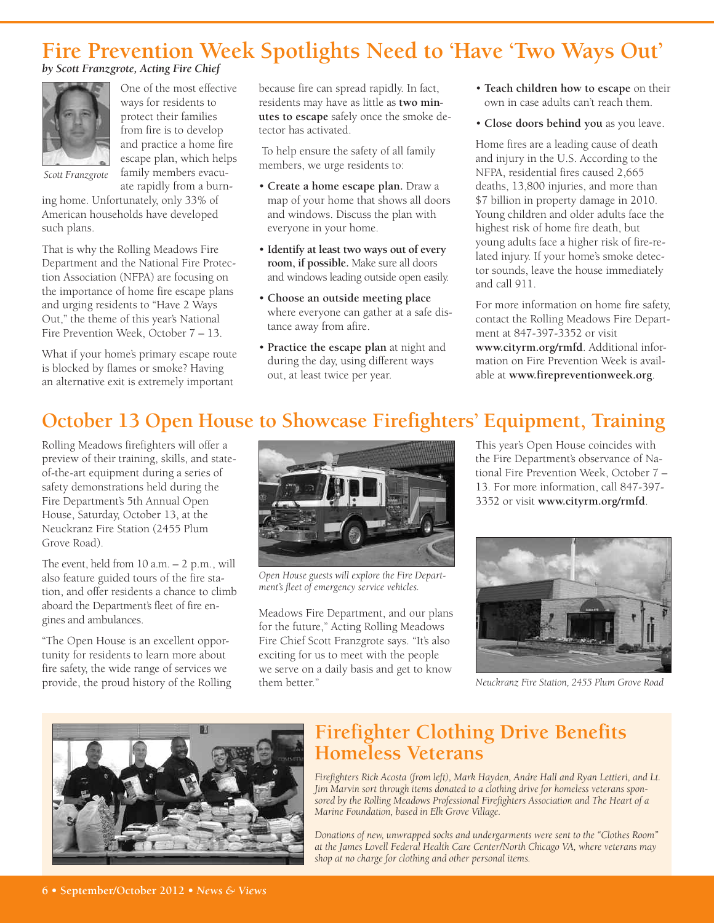# **Fire Prevention Week Spotlights Need to 'Have 'Two Ways Out'**

#### *by Scott Franzgrote, Acting Fire Chief*



One of the most effective ways for residents to protect their families from fire is to develop and practice a home fire escape plan, which helps family members evacuate rapidly from a burn-

*Scott Franzgrote*

ing home. Unfortunately, only 33% of American households have developed such plans.

That is why the Rolling Meadows Fire Department and the National Fire Protection Association (NFPA) are focusing on the importance of home fire escape plans and urging residents to "Have 2 Ways Out," the theme of this year's National Fire Prevention Week, October 7 – 13.

What if your home's primary escape route is blocked by flames or smoke? Having an alternative exit is extremely important

because fire can spread rapidly. In fact, residents may have as little as **two minutes to escape** safely once the smoke detector has activated.

To help ensure the safety of all family members, we urge residents to:

- **Create a home escape plan.** Draw a map of your home that shows all doors and windows. Discuss the plan with everyone in your home.
- **Identify at least two ways out of every room, if possible.** Make sure all doors and windows leading outside open easily.
- **Choose an outside meeting place** where everyone can gather at a safe distance away from afire.
- **Practice the escape plan** at night and during the day, using different ways out, at least twice per year.
- **Teach children how to escape** on their own in case adults can't reach them.
- **Close doors behind you** as you leave.

Home fires are a leading cause of death and injury in the U.S. According to the NFPA, residential fires caused 2,665 deaths, 13,800 injuries, and more than \$7 billion in property damage in 2010. Young children and older adults face the highest risk of home fire death, but young adults face a higher risk of fire-related injury. If your home's smoke detector sounds, leave the house immediately and call 911.

For more information on home fire safety, contact the Rolling Meadows Fire Department at 847-397-3352 or visit **www.cityrm.org/rmfd**. Additional information on Fire Prevention Week is available at **www.firepreventionweek.org**.

# **October 13 Open House to Showcase Firefighters' Equipment, Training**

Rolling Meadows firefighters will offer a preview of their training, skills, and stateof-the-art equipment during a series of safety demonstrations held during the Fire Department's 5th Annual Open House, Saturday, October 13, at the Neuckranz Fire Station (2455 Plum Grove Road).

The event, held from 10 a.m. – 2 p.m., will also feature guided tours of the fire station, and offer residents a chance to climb aboard the Department's fleet of fire engines and ambulances.

"The Open House is an excellent opportunity for residents to learn more about fire safety, the wide range of services we provide, the proud history of the Rolling



*Open House guests will explore the Fire Department's fleet of emergency service vehicles.*

Meadows Fire Department, and our plans for the future," Acting Rolling Meadows Fire Chief Scott Franzgrote says. "It's also exciting for us to meet with the people we serve on a daily basis and get to know them better."

This year's Open House coincides with the Fire Department's observance of National Fire Prevention Week, October 7 – 13. For more information, call 847-397- 3352 or visit **www.cityrm.org/rmfd**.



*Neuckranz Fire Station, 2455 Plum Grove Road*



## **Firefighter Clothing Drive Benefits Homeless Veterans**

*Firefighters Rick Acosta (from left), Mark Hayden, Andre Hall and Ryan Lettieri, and Lt. Jim Marvin sort through items donated to a clothing drive for homeless veterans sponsored by the Rolling Meadows Professional Firefighters Association and The Heart of a Marine Foundation, based in Elk Grove Village.*

*Donations of new, unwrapped socks and undergarments were sent to the "Clothes Room" at the James Lovell Federal Health Care Center/North Chicago VA, where veterans may shop at no charge for clothing and other personal items.*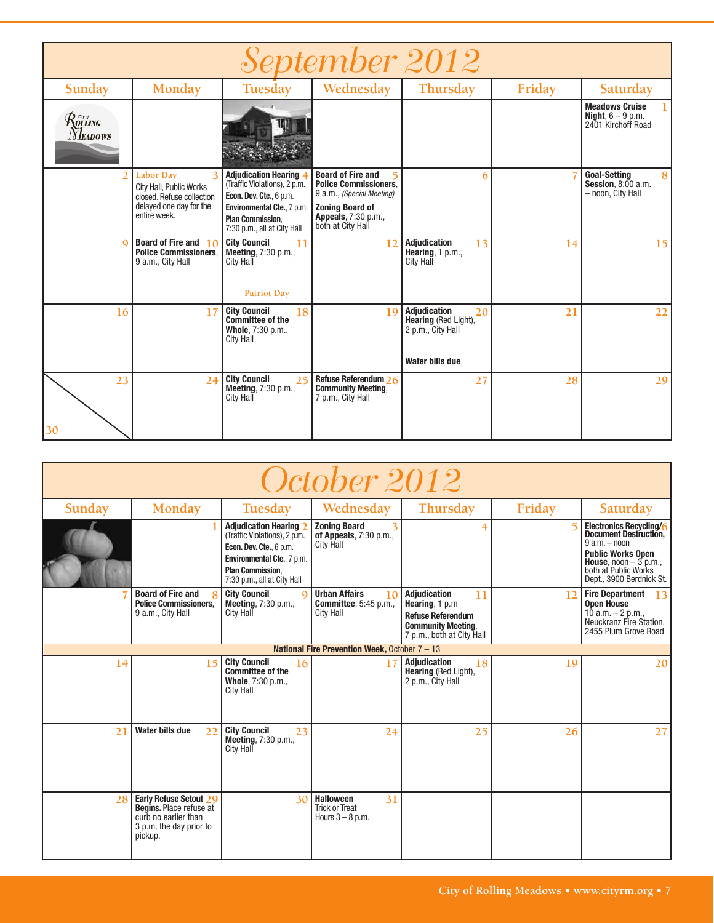| September 2012                                                                                                                               |                                                                                                                          |                                                                                                                                                                                |                                                                                                                                                                     |                                                                                           |        |                                                                       |  |  |
|----------------------------------------------------------------------------------------------------------------------------------------------|--------------------------------------------------------------------------------------------------------------------------|--------------------------------------------------------------------------------------------------------------------------------------------------------------------------------|---------------------------------------------------------------------------------------------------------------------------------------------------------------------|-------------------------------------------------------------------------------------------|--------|-----------------------------------------------------------------------|--|--|
| Sunday                                                                                                                                       | Monday                                                                                                                   | Tuesday                                                                                                                                                                        | Wednesday                                                                                                                                                           | Thursday                                                                                  | Friday | Saturday                                                              |  |  |
| $\mathcal{R}^{\tiny{{\scriptscriptstyle{{G\!u}f}}}}_{\scriptscriptstyle{\boldsymbol{{G\!L}}\boldsymbol{{L\!M}}\boldsymbol{{G}}}}$<br>Meadows |                                                                                                                          |                                                                                                                                                                                |                                                                                                                                                                     |                                                                                           |        | <b>Meadows Cruise</b><br>Night, $6 - 9$ p.m.<br>2401 Kirchoff Road    |  |  |
|                                                                                                                                              | <b>Labor Day</b><br>з<br>City Hall, Public Works<br>closed. Refuse collection<br>delayed one day for the<br>entire week. | <b>Adjudication Hearing</b><br>(Traffic Violations), 2 p.m.<br>Econ. Dev. Cte., 6 p.m.<br>Environmental Cte., 7 p.m.<br><b>Plan Commission.</b><br>7:30 p.m., all at City Hall | <b>Board of Fire and</b><br><b>Police Commissioners.</b><br>9 a.m., (Special Meeting)<br><b>Zoning Board of</b><br><b>Appeals</b> , 7:30 p.m.,<br>both at City Hall | 6                                                                                         |        | <b>Goal-Setting</b><br>8<br>Session. $8:00$ a.m.<br>- noon, City Hall |  |  |
| a                                                                                                                                            | Board of Fire and $\sqrt{0}$<br><b>Police Commissioners.</b><br>9 a.m., City Hall                                        | <b>City Council</b><br>11<br>Meeting, 7:30 p.m.,<br>City Hall<br><b>Patriot Day</b>                                                                                            | 12                                                                                                                                                                  | <b>Adjudication</b><br>13<br>Hearing, 1 p.m.,<br><b>City Hall</b>                         | 14     | 15                                                                    |  |  |
| 16                                                                                                                                           | 17                                                                                                                       | <b>City Council</b><br>18<br><b>Committee of the</b><br>Whole, 7:30 p.m.,<br>City Hall                                                                                         | 19                                                                                                                                                                  | Adjudication<br>20<br>Hearing (Red Light),<br>2 p.m., City Hall<br><b>Water bills due</b> | 21     | 22                                                                    |  |  |
| 23<br>30                                                                                                                                     | 24                                                                                                                       | <b>City Council</b><br>25<br>Meeting, 7:30 p.m.,<br>City Hall                                                                                                                  | Refuse Referendum 26<br><b>Community Meeting.</b><br>7 p.m., City Hall                                                                                              | 27                                                                                        | 28     | 29                                                                    |  |  |

| October 2012 |                                                                                                                        |                                                                                                                                                                                |                                                                                 |                                                                                                                                    |        |                                                                                                                                                                                              |  |  |
|--------------|------------------------------------------------------------------------------------------------------------------------|--------------------------------------------------------------------------------------------------------------------------------------------------------------------------------|---------------------------------------------------------------------------------|------------------------------------------------------------------------------------------------------------------------------------|--------|----------------------------------------------------------------------------------------------------------------------------------------------------------------------------------------------|--|--|
| Sunday       | Monday                                                                                                                 | Tuesday                                                                                                                                                                        | Wednesday                                                                       | Thursday                                                                                                                           | Friday | Saturday                                                                                                                                                                                     |  |  |
|              |                                                                                                                        | <b>Adjudication Hearing</b><br>(Traffic Violations), 2 p.m.<br>Econ. Dev. Cte., 6 p.m.<br>Environmental Cte., 7 p.m.<br><b>Plan Commission.</b><br>7:30 p.m., all at City Hall | <b>Zoning Board</b><br>of Appeals, 7:30 p.m.,<br><b>City Hall</b>               | 4                                                                                                                                  |        | Electronics Recycling/6<br><b>Document Destruction,</b><br>$9 a.m. - noon$<br><b>Public Works Open</b><br><b>House</b> , noon $-3$ p.m.,<br>both at Public Works<br>Dept., 3900 Berdnick St. |  |  |
|              | <b>Board of Fire and</b><br>8<br><b>Police Commissioners.</b><br>9 a.m., City Hall                                     | <b>City Council</b><br>$\Omega$<br><b>Meeting, 7:30 p.m.,</b><br><b>City Hall</b>                                                                                              | <b>Urban Affairs</b><br>10<br><b>Committee</b> , 5:45 p.m.,<br><b>City Hall</b> | <b>Adjudication</b><br>11<br>Hearing, 1 p.m.<br><b>Refuse Referendum</b><br><b>Community Meeting.</b><br>7 p.m., both at City Hall | 12     | <b>Fire Department</b><br>13<br><b>Open House</b><br>10 a.m. $-$ 2 p.m.,<br>Neuckranz Fire Station.<br>2455 Plum Grove Road                                                                  |  |  |
|              |                                                                                                                        |                                                                                                                                                                                | National Fire Prevention Week, October 7 - 13                                   |                                                                                                                                    |        |                                                                                                                                                                                              |  |  |
| 14           | 15                                                                                                                     | <b>City Council</b><br>16<br><b>Committee of the</b><br>Whole, 7:30 p.m.,<br><b>City Hall</b>                                                                                  |                                                                                 | <b>Adiudication</b><br>18<br>Hearing (Red Light),<br>2 p.m., City Hall                                                             | 19     | 20                                                                                                                                                                                           |  |  |
| 21           | <b>Water bills due</b><br>22                                                                                           | <b>City Council</b><br>23<br>Meeting, 7:30 p.m.,<br><b>City Hall</b>                                                                                                           | 24                                                                              | 25                                                                                                                                 | 26     | 27                                                                                                                                                                                           |  |  |
| 28           | Early Refuse Setout 29<br><b>Begins.</b> Place refuse at<br>curb no earlier than<br>3 p.m. the day prior to<br>pickup. | 30                                                                                                                                                                             | <b>Halloween</b><br>31<br><b>Trick or Treat</b><br>Hours $3 - 8$ p.m.           |                                                                                                                                    |        |                                                                                                                                                                                              |  |  |